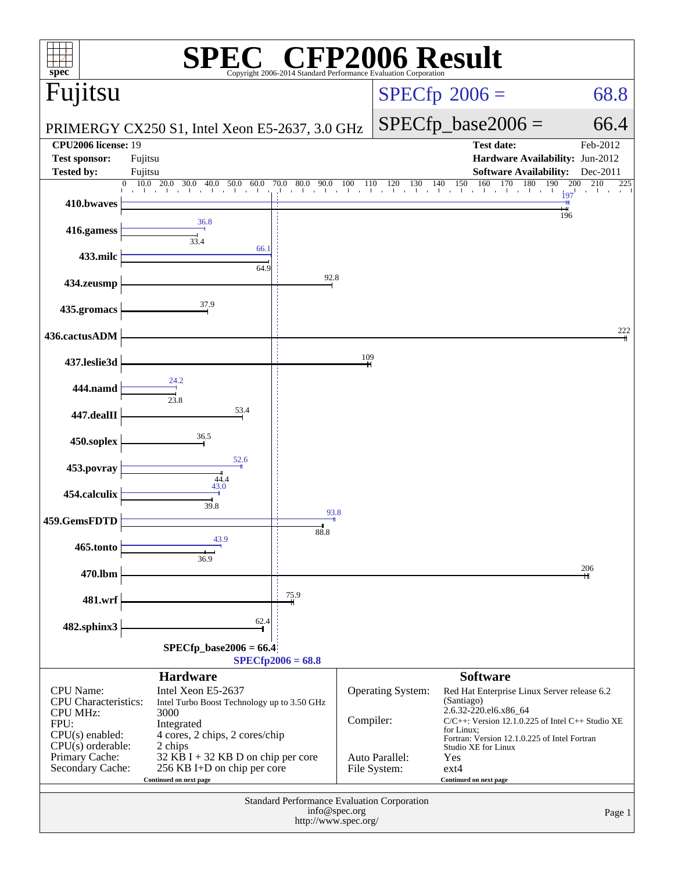| $spec^*$                                           |                                                                   |                                     |           | Copyright 2006-2014 Standard Performance Evaluation Corporation | <sup>®</sup> CFP2006 Result                                         |                          |  |
|----------------------------------------------------|-------------------------------------------------------------------|-------------------------------------|-----------|-----------------------------------------------------------------|---------------------------------------------------------------------|--------------------------|--|
| Fujitsu                                            |                                                                   |                                     |           |                                                                 | $SPECfp^{\circledast}2006 =$                                        | 68.8                     |  |
|                                                    | PRIMERGY CX250 S1, Intel Xeon E5-2637, 3.0 GHz                    |                                     |           |                                                                 | $SPECfp\_base2006 =$                                                | 66.4                     |  |
| <b>CPU2006</b> license: 19<br><b>Test sponsor:</b> |                                                                   |                                     |           |                                                                 | <b>Test date:</b><br>Hardware Availability: Jun-2012                | Feb-2012                 |  |
| <b>Tested by:</b>                                  | Fujitsu<br>Fujitsu                                                |                                     |           |                                                                 | <b>Software Availability:</b>                                       | Dec-2011                 |  |
|                                                    | 20.0<br>10.0<br>60.0<br>0<br>30.0<br>40.0<br>50.0                 | 70.0 80.0<br>$0\quad 90.0\quad 100$ | 110       |                                                                 | $110$ $120$ $130$ $140$ $150$ $160$ $170$ $180$<br>190              | 210<br>200<br>225<br>197 |  |
| 410.bwaves                                         |                                                                   |                                     |           |                                                                 |                                                                     | 196                      |  |
| 416.gamess                                         | 36.8<br>33.4                                                      |                                     |           |                                                                 |                                                                     |                          |  |
| 433.milc                                           | 66.1<br>64.9                                                      |                                     |           |                                                                 |                                                                     |                          |  |
| 434.zeusmp                                         |                                                                   | 92.8                                |           |                                                                 |                                                                     |                          |  |
| 435.gromacs                                        | 37.9                                                              |                                     |           |                                                                 |                                                                     |                          |  |
| 436.cactusADM                                      |                                                                   |                                     |           |                                                                 |                                                                     | 222                      |  |
| 437.leslie3d                                       |                                                                   |                                     | 109       |                                                                 |                                                                     |                          |  |
| 444.namd                                           | 24.2                                                              |                                     |           |                                                                 |                                                                     |                          |  |
| 447.dealII                                         | 23.8<br>53.4                                                      |                                     |           |                                                                 |                                                                     |                          |  |
| 450.soplex                                         | 36.5                                                              |                                     |           |                                                                 |                                                                     |                          |  |
| 453.povray                                         | 52.6                                                              |                                     |           |                                                                 |                                                                     |                          |  |
| 454.calculix                                       | 44.4<br>43.0                                                      |                                     |           |                                                                 |                                                                     |                          |  |
| 459.GemsFDTD                                       | 39.8                                                              | 93.8                                |           |                                                                 |                                                                     |                          |  |
| 465.tonto                                          | 43.9                                                              | 88.8                                |           |                                                                 |                                                                     |                          |  |
| 470.lbm                                            | 36.9                                                              |                                     |           |                                                                 |                                                                     | 206                      |  |
| 481.wrf                                            |                                                                   | 75.9                                |           |                                                                 |                                                                     |                          |  |
| 482.sphinx3                                        | 62.4                                                              |                                     |           |                                                                 |                                                                     |                          |  |
|                                                    | $SPECfp\_base2006 = 66.4$                                         |                                     |           |                                                                 |                                                                     |                          |  |
|                                                    | <b>Hardware</b>                                                   | $SPECfp2006 = 68.8$                 |           |                                                                 | <b>Software</b>                                                     |                          |  |
| <b>CPU</b> Name:                                   | Intel Xeon E5-2637                                                |                                     |           | <b>Operating System:</b>                                        | Red Hat Enterprise Linux Server release 6.2                         |                          |  |
| <b>CPU</b> Characteristics:<br><b>CPU MHz:</b>     | Intel Turbo Boost Technology up to 3.50 GHz<br>3000               |                                     |           |                                                                 | (Santiago)<br>2.6.32-220.el6.x86_64                                 |                          |  |
| FPU:<br>$CPU(s)$ enabled:                          | Integrated<br>4 cores, 2 chips, 2 cores/chip                      |                                     | Compiler: |                                                                 | $C/C++$ : Version 12.1.0.225 of Intel $C++$ Studio XE<br>for Linux; |                          |  |
| $CPU(s)$ orderable:                                | 2 chips                                                           |                                     |           |                                                                 | Fortran: Version 12.1.0.225 of Intel Fortran<br>Studio XE for Linux |                          |  |
| Primary Cache:<br>Secondary Cache:                 | 32 KB I + 32 KB D on chip per core<br>256 KB I+D on chip per core |                                     |           | Auto Parallel:<br>File System:                                  | Yes<br>$ext{4}$                                                     |                          |  |
|                                                    | Continued on next page                                            |                                     |           |                                                                 | Continued on next page                                              |                          |  |
| Standard Performance Evaluation Corporation        |                                                                   |                                     |           |                                                                 |                                                                     |                          |  |
| info@spec.org<br>Page 1<br>http://www.spec.org/    |                                                                   |                                     |           |                                                                 |                                                                     |                          |  |
|                                                    |                                                                   |                                     |           |                                                                 |                                                                     |                          |  |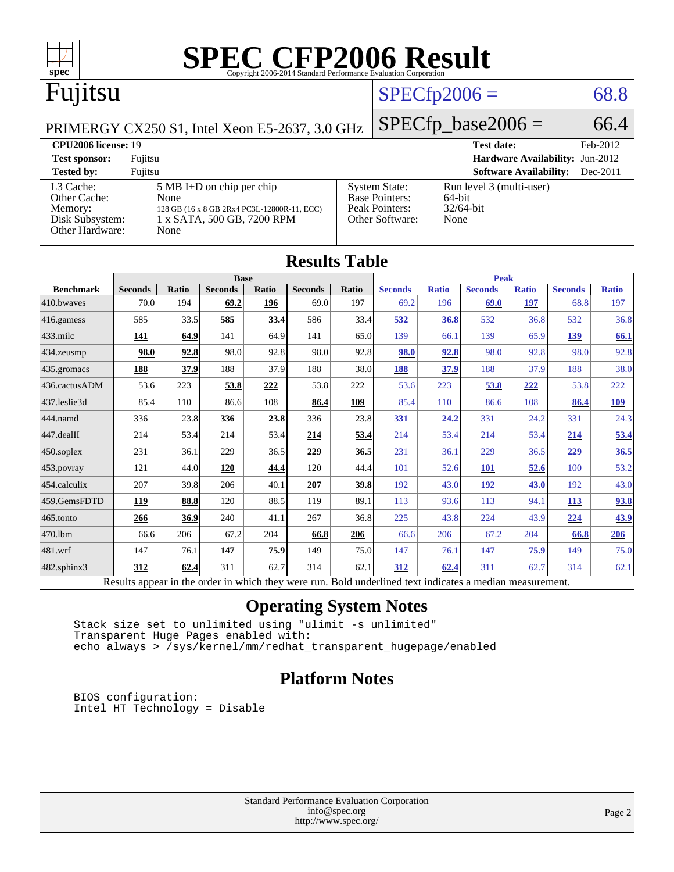

| IWJULW LUVIV                                                                                             |                |       |                |             |                |       |                |              |                |              |                |              |
|----------------------------------------------------------------------------------------------------------|----------------|-------|----------------|-------------|----------------|-------|----------------|--------------|----------------|--------------|----------------|--------------|
| <b>Base</b>                                                                                              |                |       |                | <b>Peak</b> |                |       |                |              |                |              |                |              |
| <b>Benchmark</b>                                                                                         | <b>Seconds</b> | Ratio | <b>Seconds</b> | Ratio       | <b>Seconds</b> | Ratio | <b>Seconds</b> | <b>Ratio</b> | <b>Seconds</b> | <b>Ratio</b> | <b>Seconds</b> | <b>Ratio</b> |
| 410.bwayes                                                                                               | 70.0           | 194   | 69.2           | 196         | 69.0           | 197   | 69.2           | 196          | 69.0           | 197          | 68.8           | 197          |
| $416$ .gamess                                                                                            | 585            | 33.5  | 585            | 33.4        | 586            | 33.4  | 532            | 36.8         | 532            | 36.8         | 532            | 36.8         |
| $433$ .milc                                                                                              | 141            | 64.9  | 141            | 64.9        | 141            | 65.0  | 139            | 66.1         | 139            | 65.9         | 139            | 66.1         |
| 434.zeusmp                                                                                               | 98.0           | 92.8  | 98.0           | 92.8        | 98.0           | 92.8  | 98.0           | 92.8         | 98.0           | 92.8         | 98.0           | 92.8         |
| $435$ .gromacs                                                                                           | 188            | 37.9  | 188            | 37.9        | 188            | 38.0  | 188            | 37.9         | 188            | 37.9         | 188            | 38.0         |
| 436.cactusADM                                                                                            | 53.6           | 223   | 53.8           | 222         | 53.8           | 222   | 53.6           | 223          | 53.8           | 222          | 53.8           | 222          |
| 437.leslie3d                                                                                             | 85.4           | 110   | 86.6           | 108         | 86.4           | 109   | 85.4           | 110          | 86.6           | 108          | 86.4           | <u>109</u>   |
| 444.namd                                                                                                 | 336            | 23.8  | 336            | 23.8        | 336            | 23.8  | 331            | 24.2         | 331            | 24.2         | 331            | 24.3         |
| $ 447 \text{.}$ dealII                                                                                   | 214            | 53.4  | 214            | 53.4        | 214            | 53.4  | 214            | 53.4         | 214            | 53.4         | 214            | 53.4         |
| $450$ .soplex                                                                                            | 231            | 36.1  | 229            | 36.5        | 229            | 36.5  | 231            | 36.1         | 229            | 36.5         | 229            | 36.5         |
| $ 453$ . povray                                                                                          | 121            | 44.0  | 120            | 44.4        | 120            | 44.4  | 101            | 52.6         | <b>101</b>     | 52.6         | 100            | 53.2         |
| 454.calculix                                                                                             | 207            | 39.8  | 206            | 40.1        | 207            | 39.8  | 192            | 43.0         | <u>192</u>     | 43.0         | 192            | 43.0         |
| 459.GemsFDTD                                                                                             | 119            | 88.8  | 120            | 88.5        | 119            | 89.1  | 113            | 93.6         | 113            | 94.1         | <u>113</u>     | 93.8         |
| 465.tonto                                                                                                | 266            | 36.9  | 240            | 41.1        | 267            | 36.8  | 225            | 43.8         | 224            | 43.9         | 224            | 43.9         |
| 470.1bm                                                                                                  | 66.6           | 206   | 67.2           | 204         | 66.8           | 206   | 66.6           | 206          | 67.2           | 204          | 66.8           | 206          |
| 481.wrf                                                                                                  | 147            | 76.1  | 147            | 75.9        | 149            | 75.0  | 147            | 76.1         | 147            | 75.9         | 149            | 75.0         |
| $482$ .sphinx $3$                                                                                        | 312            | 62.4  | 311            | 62.7        | 314            | 62.1  | 312            | 62.4         | 311            | 62.7         | 314            | 62.1         |
| Results appear in the order in which they were run. Bold underlined text indicates a median measurement. |                |       |                |             |                |       |                |              |                |              |                |              |

### **[Operating System Notes](http://www.spec.org/auto/cpu2006/Docs/result-fields.html#OperatingSystemNotes)**

 Stack size set to unlimited using "ulimit -s unlimited" Transparent Huge Pages enabled with: echo always > /sys/kernel/mm/redhat\_transparent\_hugepage/enabled

### **[Platform Notes](http://www.spec.org/auto/cpu2006/Docs/result-fields.html#PlatformNotes)**

 BIOS configuration: Intel HT Technology = Disable

> Standard Performance Evaluation Corporation [info@spec.org](mailto:info@spec.org) <http://www.spec.org/>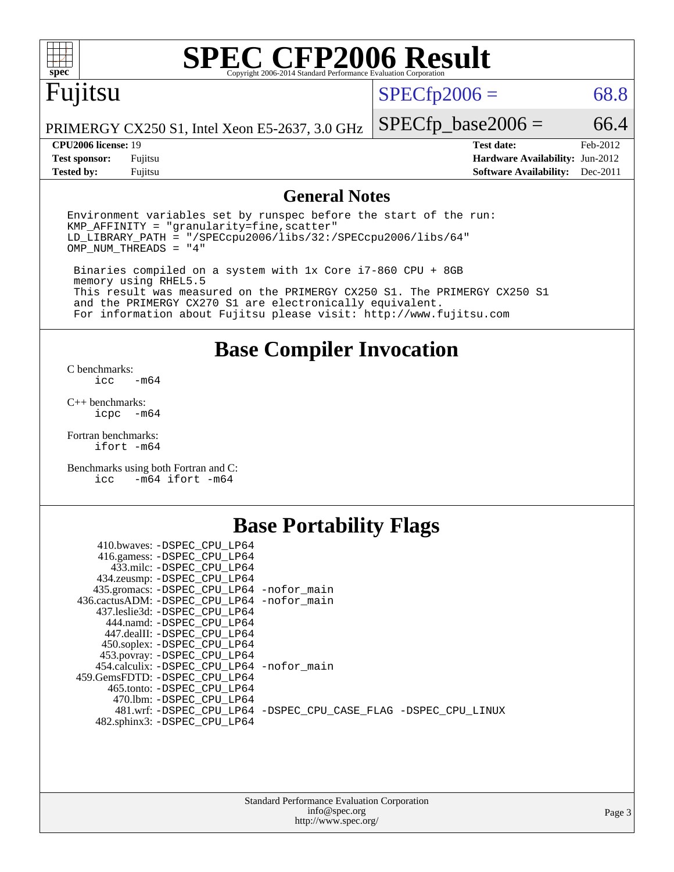

# **[SPEC CFP2006 Result](http://www.spec.org/auto/cpu2006/Docs/result-fields.html#SPECCFP2006Result)**

# Fujitsu

 $SPECTp2006 = 68.8$ 

PRIMERGY CX250 S1, Intel Xeon E5-2637, 3.0 GHz

**[Tested by:](http://www.spec.org/auto/cpu2006/Docs/result-fields.html#Testedby)** Fujitsu **[Software Availability:](http://www.spec.org/auto/cpu2006/Docs/result-fields.html#SoftwareAvailability)** Dec-2011

**[CPU2006 license:](http://www.spec.org/auto/cpu2006/Docs/result-fields.html#CPU2006license)** 19 **[Test date:](http://www.spec.org/auto/cpu2006/Docs/result-fields.html#Testdate)** Feb-2012 **[Test sponsor:](http://www.spec.org/auto/cpu2006/Docs/result-fields.html#Testsponsor)** Fujitsu **[Hardware Availability:](http://www.spec.org/auto/cpu2006/Docs/result-fields.html#HardwareAvailability)** Jun-2012

 $SPECTp\_base2006 = 66.4$ 

### **[General Notes](http://www.spec.org/auto/cpu2006/Docs/result-fields.html#GeneralNotes)**

Environment variables set by runspec before the start of the run:  $KMP$  AFFINITY = "granularity=fine, scatter" LD\_LIBRARY\_PATH = "/SPECcpu2006/libs/32:/SPECcpu2006/libs/64" OMP\_NUM\_THREADS = "4"

 Binaries compiled on a system with 1x Core i7-860 CPU + 8GB memory using RHEL5.5 This result was measured on the PRIMERGY CX250 S1. The PRIMERGY CX250 S1 and the PRIMERGY CX270 S1 are electronically equivalent. For information about Fujitsu please visit: <http://www.fujitsu.com>

**[Base Compiler Invocation](http://www.spec.org/auto/cpu2006/Docs/result-fields.html#BaseCompilerInvocation)**

[C benchmarks](http://www.spec.org/auto/cpu2006/Docs/result-fields.html#Cbenchmarks):  $-m64$ 

[C++ benchmarks:](http://www.spec.org/auto/cpu2006/Docs/result-fields.html#CXXbenchmarks) [icpc -m64](http://www.spec.org/cpu2006/results/res2012q3/cpu2006-20120605-22766.flags.html#user_CXXbase_intel_icpc_64bit_bedb90c1146cab66620883ef4f41a67e)

[Fortran benchmarks](http://www.spec.org/auto/cpu2006/Docs/result-fields.html#Fortranbenchmarks): [ifort -m64](http://www.spec.org/cpu2006/results/res2012q3/cpu2006-20120605-22766.flags.html#user_FCbase_intel_ifort_64bit_ee9d0fb25645d0210d97eb0527dcc06e)

[Benchmarks using both Fortran and C](http://www.spec.org/auto/cpu2006/Docs/result-fields.html#BenchmarksusingbothFortranandC): [icc -m64](http://www.spec.org/cpu2006/results/res2012q3/cpu2006-20120605-22766.flags.html#user_CC_FCbase_intel_icc_64bit_0b7121f5ab7cfabee23d88897260401c) [ifort -m64](http://www.spec.org/cpu2006/results/res2012q3/cpu2006-20120605-22766.flags.html#user_CC_FCbase_intel_ifort_64bit_ee9d0fb25645d0210d97eb0527dcc06e)

### **[Base Portability Flags](http://www.spec.org/auto/cpu2006/Docs/result-fields.html#BasePortabilityFlags)**

| 410.bwaves: -DSPEC CPU LP64<br>416.gamess: -DSPEC_CPU_LP64<br>433.milc: -DSPEC CPU LP64 |                                                                |
|-----------------------------------------------------------------------------------------|----------------------------------------------------------------|
| 434.zeusmp: - DSPEC_CPU_LP64                                                            |                                                                |
| 435.gromacs: -DSPEC_CPU_LP64 -nofor_main                                                |                                                                |
| 436.cactusADM: -DSPEC CPU LP64 -nofor main                                              |                                                                |
| 437.leslie3d: -DSPEC CPU LP64                                                           |                                                                |
| 444.namd: -DSPEC CPU LP64                                                               |                                                                |
| 447.dealII: -DSPEC_CPU LP64                                                             |                                                                |
| 450.soplex: -DSPEC_CPU_LP64                                                             |                                                                |
| 453.povray: -DSPEC_CPU_LP64                                                             |                                                                |
| 454.calculix: - DSPEC CPU LP64 - nofor main                                             |                                                                |
| 459. GemsFDTD: - DSPEC CPU LP64                                                         |                                                                |
| 465.tonto: - DSPEC CPU LP64                                                             |                                                                |
| 470.1bm: - DSPEC CPU LP64                                                               |                                                                |
|                                                                                         | 481.wrf: -DSPEC CPU_LP64 -DSPEC_CPU_CASE_FLAG -DSPEC_CPU_LINUX |
| 482.sphinx3: -DSPEC_CPU_LP64                                                            |                                                                |
|                                                                                         |                                                                |

| <b>Standard Performance Evaluation Corporation</b> |
|----------------------------------------------------|
| info@spec.org                                      |
| http://www.spec.org/                               |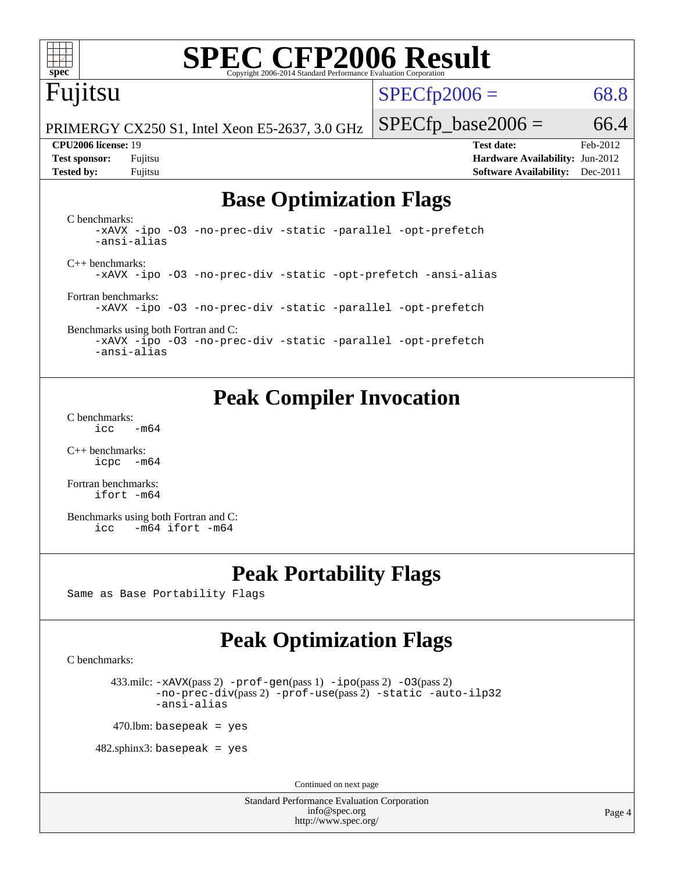

# **[SPEC CFP2006 Result](http://www.spec.org/auto/cpu2006/Docs/result-fields.html#SPECCFP2006Result)**

# Fujitsu

 $SPECTp2006 = 68.8$ 

PRIMERGY CX250 S1, Intel Xeon E5-2637, 3.0 GHz

**[Tested by:](http://www.spec.org/auto/cpu2006/Docs/result-fields.html#Testedby)** Fujitsu **[Software Availability:](http://www.spec.org/auto/cpu2006/Docs/result-fields.html#SoftwareAvailability)** Dec-2011

**[CPU2006 license:](http://www.spec.org/auto/cpu2006/Docs/result-fields.html#CPU2006license)** 19 **[Test date:](http://www.spec.org/auto/cpu2006/Docs/result-fields.html#Testdate)** Feb-2012 **[Test sponsor:](http://www.spec.org/auto/cpu2006/Docs/result-fields.html#Testsponsor)** Fujitsu **[Hardware Availability:](http://www.spec.org/auto/cpu2006/Docs/result-fields.html#HardwareAvailability)** Jun-2012

 $SPECTp\_base2006 = 66.4$ 

# **[Base Optimization Flags](http://www.spec.org/auto/cpu2006/Docs/result-fields.html#BaseOptimizationFlags)**

[C benchmarks](http://www.spec.org/auto/cpu2006/Docs/result-fields.html#Cbenchmarks): [-xAVX](http://www.spec.org/cpu2006/results/res2012q3/cpu2006-20120605-22766.flags.html#user_CCbase_f-xAVX) [-ipo](http://www.spec.org/cpu2006/results/res2012q3/cpu2006-20120605-22766.flags.html#user_CCbase_f-ipo) [-O3](http://www.spec.org/cpu2006/results/res2012q3/cpu2006-20120605-22766.flags.html#user_CCbase_f-O3) [-no-prec-div](http://www.spec.org/cpu2006/results/res2012q3/cpu2006-20120605-22766.flags.html#user_CCbase_f-no-prec-div) [-static](http://www.spec.org/cpu2006/results/res2012q3/cpu2006-20120605-22766.flags.html#user_CCbase_f-static) [-parallel](http://www.spec.org/cpu2006/results/res2012q3/cpu2006-20120605-22766.flags.html#user_CCbase_f-parallel) [-opt-prefetch](http://www.spec.org/cpu2006/results/res2012q3/cpu2006-20120605-22766.flags.html#user_CCbase_f-opt-prefetch) [-ansi-alias](http://www.spec.org/cpu2006/results/res2012q3/cpu2006-20120605-22766.flags.html#user_CCbase_f-ansi-alias) [C++ benchmarks:](http://www.spec.org/auto/cpu2006/Docs/result-fields.html#CXXbenchmarks) [-xAVX](http://www.spec.org/cpu2006/results/res2012q3/cpu2006-20120605-22766.flags.html#user_CXXbase_f-xAVX) [-ipo](http://www.spec.org/cpu2006/results/res2012q3/cpu2006-20120605-22766.flags.html#user_CXXbase_f-ipo) [-O3](http://www.spec.org/cpu2006/results/res2012q3/cpu2006-20120605-22766.flags.html#user_CXXbase_f-O3) [-no-prec-div](http://www.spec.org/cpu2006/results/res2012q3/cpu2006-20120605-22766.flags.html#user_CXXbase_f-no-prec-div) [-static](http://www.spec.org/cpu2006/results/res2012q3/cpu2006-20120605-22766.flags.html#user_CXXbase_f-static) [-opt-prefetch](http://www.spec.org/cpu2006/results/res2012q3/cpu2006-20120605-22766.flags.html#user_CXXbase_f-opt-prefetch) [-ansi-alias](http://www.spec.org/cpu2006/results/res2012q3/cpu2006-20120605-22766.flags.html#user_CXXbase_f-ansi-alias) [Fortran benchmarks](http://www.spec.org/auto/cpu2006/Docs/result-fields.html#Fortranbenchmarks): [-xAVX](http://www.spec.org/cpu2006/results/res2012q3/cpu2006-20120605-22766.flags.html#user_FCbase_f-xAVX) [-ipo](http://www.spec.org/cpu2006/results/res2012q3/cpu2006-20120605-22766.flags.html#user_FCbase_f-ipo) [-O3](http://www.spec.org/cpu2006/results/res2012q3/cpu2006-20120605-22766.flags.html#user_FCbase_f-O3) [-no-prec-div](http://www.spec.org/cpu2006/results/res2012q3/cpu2006-20120605-22766.flags.html#user_FCbase_f-no-prec-div) [-static](http://www.spec.org/cpu2006/results/res2012q3/cpu2006-20120605-22766.flags.html#user_FCbase_f-static) [-parallel](http://www.spec.org/cpu2006/results/res2012q3/cpu2006-20120605-22766.flags.html#user_FCbase_f-parallel) [-opt-prefetch](http://www.spec.org/cpu2006/results/res2012q3/cpu2006-20120605-22766.flags.html#user_FCbase_f-opt-prefetch) [Benchmarks using both Fortran and C](http://www.spec.org/auto/cpu2006/Docs/result-fields.html#BenchmarksusingbothFortranandC):

[-xAVX](http://www.spec.org/cpu2006/results/res2012q3/cpu2006-20120605-22766.flags.html#user_CC_FCbase_f-xAVX) [-ipo](http://www.spec.org/cpu2006/results/res2012q3/cpu2006-20120605-22766.flags.html#user_CC_FCbase_f-ipo) [-O3](http://www.spec.org/cpu2006/results/res2012q3/cpu2006-20120605-22766.flags.html#user_CC_FCbase_f-O3) [-no-prec-div](http://www.spec.org/cpu2006/results/res2012q3/cpu2006-20120605-22766.flags.html#user_CC_FCbase_f-no-prec-div) [-static](http://www.spec.org/cpu2006/results/res2012q3/cpu2006-20120605-22766.flags.html#user_CC_FCbase_f-static) [-parallel](http://www.spec.org/cpu2006/results/res2012q3/cpu2006-20120605-22766.flags.html#user_CC_FCbase_f-parallel) [-opt-prefetch](http://www.spec.org/cpu2006/results/res2012q3/cpu2006-20120605-22766.flags.html#user_CC_FCbase_f-opt-prefetch) [-ansi-alias](http://www.spec.org/cpu2006/results/res2012q3/cpu2006-20120605-22766.flags.html#user_CC_FCbase_f-ansi-alias)

# **[Peak Compiler Invocation](http://www.spec.org/auto/cpu2006/Docs/result-fields.html#PeakCompilerInvocation)**

[C benchmarks](http://www.spec.org/auto/cpu2006/Docs/result-fields.html#Cbenchmarks):  $\text{icc}$  -m64

[C++ benchmarks:](http://www.spec.org/auto/cpu2006/Docs/result-fields.html#CXXbenchmarks) [icpc -m64](http://www.spec.org/cpu2006/results/res2012q3/cpu2006-20120605-22766.flags.html#user_CXXpeak_intel_icpc_64bit_bedb90c1146cab66620883ef4f41a67e)

[Fortran benchmarks](http://www.spec.org/auto/cpu2006/Docs/result-fields.html#Fortranbenchmarks): [ifort -m64](http://www.spec.org/cpu2006/results/res2012q3/cpu2006-20120605-22766.flags.html#user_FCpeak_intel_ifort_64bit_ee9d0fb25645d0210d97eb0527dcc06e)

[Benchmarks using both Fortran and C](http://www.spec.org/auto/cpu2006/Docs/result-fields.html#BenchmarksusingbothFortranandC): [icc -m64](http://www.spec.org/cpu2006/results/res2012q3/cpu2006-20120605-22766.flags.html#user_CC_FCpeak_intel_icc_64bit_0b7121f5ab7cfabee23d88897260401c) [ifort -m64](http://www.spec.org/cpu2006/results/res2012q3/cpu2006-20120605-22766.flags.html#user_CC_FCpeak_intel_ifort_64bit_ee9d0fb25645d0210d97eb0527dcc06e)

# **[Peak Portability Flags](http://www.spec.org/auto/cpu2006/Docs/result-fields.html#PeakPortabilityFlags)**

Same as Base Portability Flags

# **[Peak Optimization Flags](http://www.spec.org/auto/cpu2006/Docs/result-fields.html#PeakOptimizationFlags)**

[C benchmarks](http://www.spec.org/auto/cpu2006/Docs/result-fields.html#Cbenchmarks):

433.milc:  $-x$ AVX(pass 2)  $-p$ rof-gen(pass 1)  $-p$ po(pass 2)  $-03$ (pass 2) [-no-prec-div](http://www.spec.org/cpu2006/results/res2012q3/cpu2006-20120605-22766.flags.html#user_peakPASS2_CFLAGSPASS2_LDFLAGS433_milc_f-no-prec-div)(pass 2) [-prof-use](http://www.spec.org/cpu2006/results/res2012q3/cpu2006-20120605-22766.flags.html#user_peakPASS2_CFLAGSPASS2_LDFLAGS433_milc_prof_use_bccf7792157ff70d64e32fe3e1250b55)(pass 2) [-static](http://www.spec.org/cpu2006/results/res2012q3/cpu2006-20120605-22766.flags.html#user_peakOPTIMIZE433_milc_f-static) [-auto-ilp32](http://www.spec.org/cpu2006/results/res2012q3/cpu2006-20120605-22766.flags.html#user_peakCOPTIMIZE433_milc_f-auto-ilp32) [-ansi-alias](http://www.spec.org/cpu2006/results/res2012q3/cpu2006-20120605-22766.flags.html#user_peakCOPTIMIZE433_milc_f-ansi-alias)

 $470$ .lbm: basepeak = yes

 $482$ .sphinx3: basepeak = yes

Continued on next page

Standard Performance Evaluation Corporation [info@spec.org](mailto:info@spec.org) <http://www.spec.org/>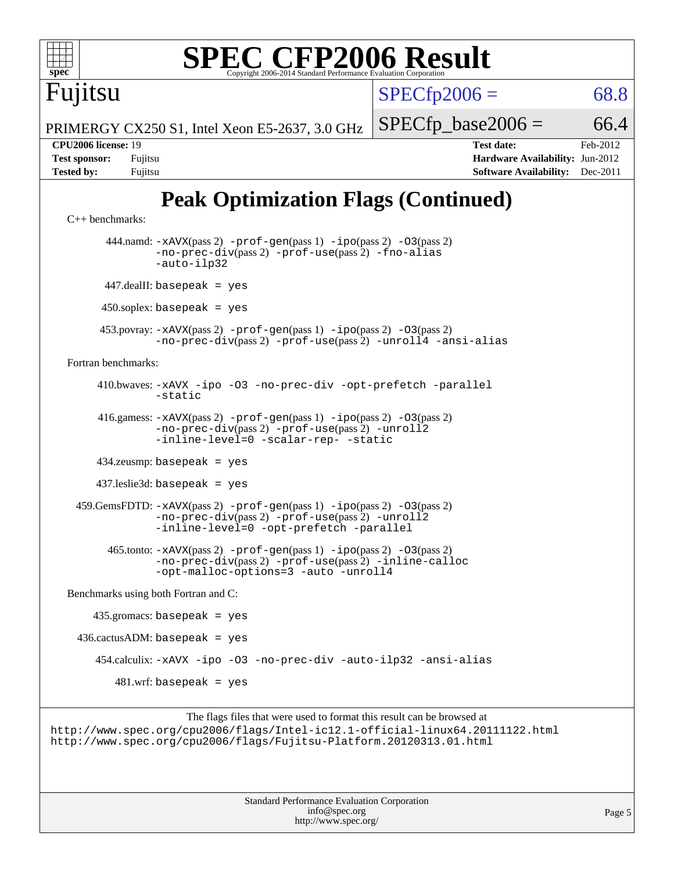

[Benchmarks using both Fortran and C](http://www.spec.org/auto/cpu2006/Docs/result-fields.html#BenchmarksusingbothFortranandC):

 435.gromacs: basepeak = yes  $436.cactusADM: basepeak = yes$  454.calculix: [-xAVX](http://www.spec.org/cpu2006/results/res2012q3/cpu2006-20120605-22766.flags.html#user_peakOPTIMIZE454_calculix_f-xAVX) [-ipo](http://www.spec.org/cpu2006/results/res2012q3/cpu2006-20120605-22766.flags.html#user_peakOPTIMIZE454_calculix_f-ipo) [-O3](http://www.spec.org/cpu2006/results/res2012q3/cpu2006-20120605-22766.flags.html#user_peakOPTIMIZE454_calculix_f-O3) [-no-prec-div](http://www.spec.org/cpu2006/results/res2012q3/cpu2006-20120605-22766.flags.html#user_peakOPTIMIZE454_calculix_f-no-prec-div) [-auto-ilp32](http://www.spec.org/cpu2006/results/res2012q3/cpu2006-20120605-22766.flags.html#user_peakCOPTIMIZE454_calculix_f-auto-ilp32) [-ansi-alias](http://www.spec.org/cpu2006/results/res2012q3/cpu2006-20120605-22766.flags.html#user_peakCOPTIMIZE454_calculix_f-ansi-alias)  $481.$ wrf: basepeak = yes

The flags files that were used to format this result can be browsed at <http://www.spec.org/cpu2006/flags/Intel-ic12.1-official-linux64.20111122.html> <http://www.spec.org/cpu2006/flags/Fujitsu-Platform.20120313.01.html>

> Standard Performance Evaluation Corporation [info@spec.org](mailto:info@spec.org) <http://www.spec.org/>